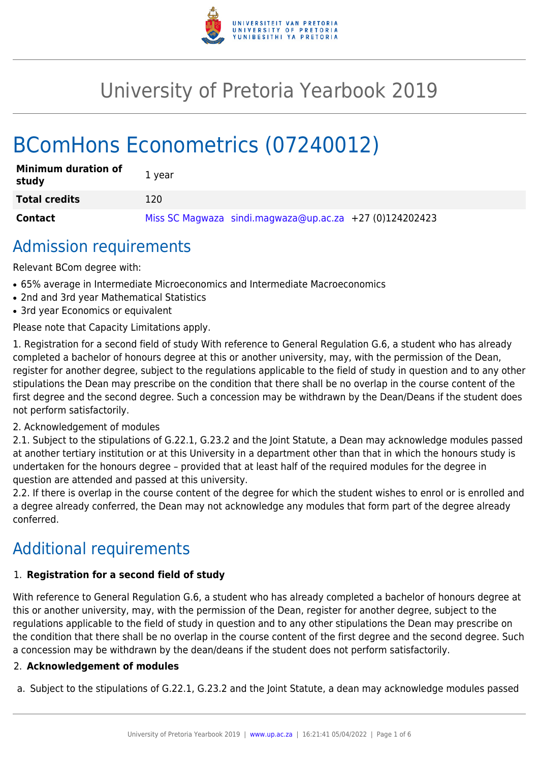

# University of Pretoria Yearbook 2019

# BComHons Econometrics (07240012)

| <b>Minimum duration of</b><br>study | 1 year                                                    |
|-------------------------------------|-----------------------------------------------------------|
| <b>Total credits</b>                | 120                                                       |
| <b>Contact</b>                      | Miss SC Magwaza sindi.magwaza@up.ac.za $+27$ (0)124202423 |

# Admission requirements

Relevant BCom degree with:

- 65% average in Intermediate Microeconomics and Intermediate Macroeconomics
- 2nd and 3rd year Mathematical Statistics
- 3rd year Economics or equivalent

Please note that Capacity Limitations apply.

1. Registration for a second field of study With reference to General Regulation G.6, a student who has already completed a bachelor of honours degree at this or another university, may, with the permission of the Dean, register for another degree, subject to the regulations applicable to the field of study in question and to any other stipulations the Dean may prescribe on the condition that there shall be no overlap in the course content of the first degree and the second degree. Such a concession may be withdrawn by the Dean/Deans if the student does not perform satisfactorily.

# 2. Acknowledgement of modules

2.1. Subject to the stipulations of G.22.1, G.23.2 and the Joint Statute, a Dean may acknowledge modules passed at another tertiary institution or at this University in a department other than that in which the honours study is undertaken for the honours degree – provided that at least half of the required modules for the degree in question are attended and passed at this university.

2.2. If there is overlap in the course content of the degree for which the student wishes to enrol or is enrolled and a degree already conferred, the Dean may not acknowledge any modules that form part of the degree already conferred.

# Additional requirements

# 1. **Registration for a second field of study**

With reference to General Regulation G.6, a student who has already completed a bachelor of honours degree at this or another university, may, with the permission of the Dean, register for another degree, subject to the regulations applicable to the field of study in question and to any other stipulations the Dean may prescribe on the condition that there shall be no overlap in the course content of the first degree and the second degree. Such a concession may be withdrawn by the dean/deans if the student does not perform satisfactorily.

# 2. **Acknowledgement of modules**

a. Subject to the stipulations of G.22.1, G.23.2 and the Joint Statute, a dean may acknowledge modules passed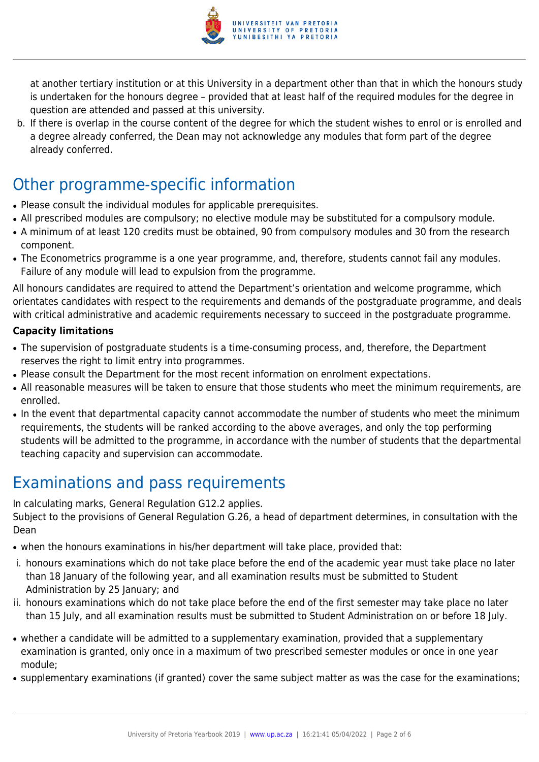

at another tertiary institution or at this University in a department other than that in which the honours study is undertaken for the honours degree – provided that at least half of the required modules for the degree in question are attended and passed at this university.

b. If there is overlap in the course content of the degree for which the student wishes to enrol or is enrolled and a degree already conferred, the Dean may not acknowledge any modules that form part of the degree already conferred.

# Other programme-specific information

- Please consult the individual modules for applicable prerequisites.
- All prescribed modules are compulsory; no elective module may be substituted for a compulsory module.
- A minimum of at least 120 credits must be obtained, 90 from compulsory modules and 30 from the research component.
- The Econometrics programme is a one year programme, and, therefore, students cannot fail any modules. Failure of any module will lead to expulsion from the programme.

All honours candidates are required to attend the Department's orientation and welcome programme, which orientates candidates with respect to the requirements and demands of the postgraduate programme, and deals with critical administrative and academic requirements necessary to succeed in the postgraduate programme.

# **Capacity limitations**

- The supervision of postgraduate students is a time-consuming process, and, therefore, the Department reserves the right to limit entry into programmes.
- Please consult the Department for the most recent information on enrolment expectations.
- All reasonable measures will be taken to ensure that those students who meet the minimum requirements, are enrolled.
- In the event that departmental capacity cannot accommodate the number of students who meet the minimum requirements, the students will be ranked according to the above averages, and only the top performing students will be admitted to the programme, in accordance with the number of students that the departmental teaching capacity and supervision can accommodate.

# Examinations and pass requirements

In calculating marks, General Regulation G12.2 applies.

Subject to the provisions of General Regulation G.26, a head of department determines, in consultation with the Dean

- when the honours examinations in his/her department will take place, provided that:
- i. honours examinations which do not take place before the end of the academic year must take place no later than 18 January of the following year, and all examination results must be submitted to Student Administration by 25 January; and
- ii. honours examinations which do not take place before the end of the first semester may take place no later than 15 July, and all examination results must be submitted to Student Administration on or before 18 July.
- whether a candidate will be admitted to a supplementary examination, provided that a supplementary examination is granted, only once in a maximum of two prescribed semester modules or once in one year module;
- supplementary examinations (if granted) cover the same subject matter as was the case for the examinations;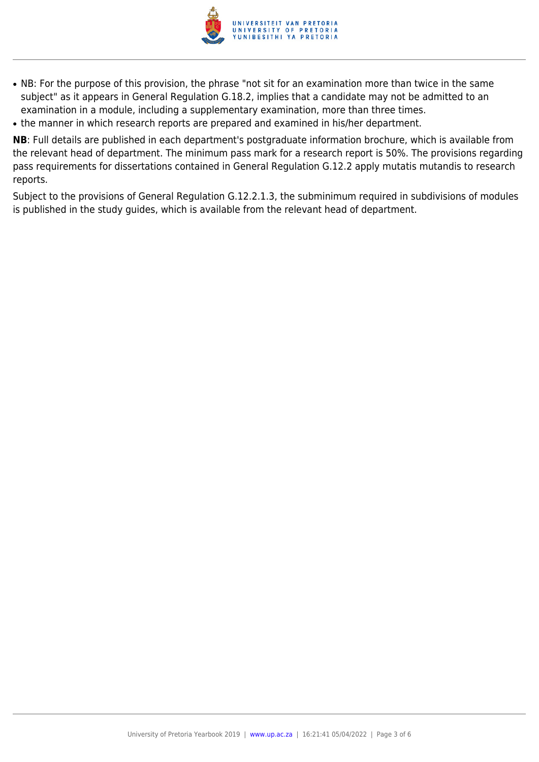

- NB: For the purpose of this provision, the phrase "not sit for an examination more than twice in the same subject" as it appears in General Regulation G.18.2, implies that a candidate may not be admitted to an examination in a module, including a supplementary examination, more than three times.
- the manner in which research reports are prepared and examined in his/her department.

**NB**: Full details are published in each department's postgraduate information brochure, which is available from the relevant head of department. The minimum pass mark for a research report is 50%. The provisions regarding pass requirements for dissertations contained in General Regulation G.12.2 apply mutatis mutandis to research reports.

Subject to the provisions of General Regulation G.12.2.1.3, the subminimum required in subdivisions of modules is published in the study guides, which is available from the relevant head of department.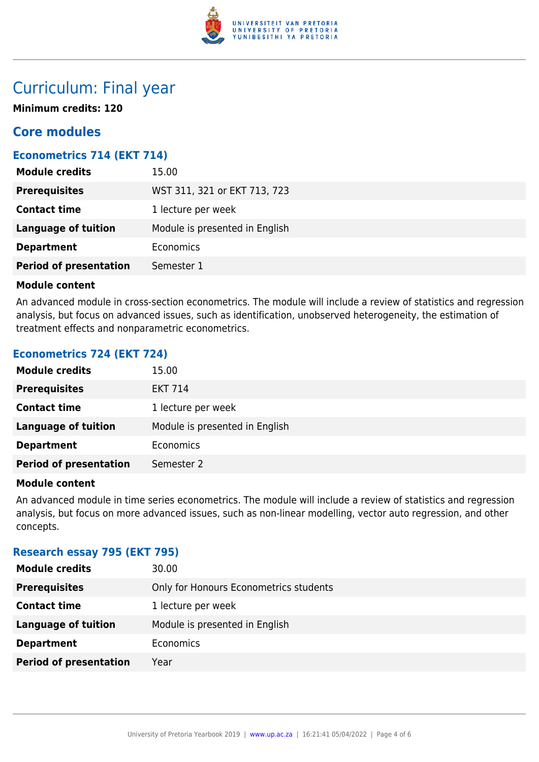

# Curriculum: Final year

**Minimum credits: 120**

# **Core modules**

# **Econometrics 714 (EKT 714)**

| <b>Module credits</b>         | 15.00                          |
|-------------------------------|--------------------------------|
| <b>Prerequisites</b>          | WST 311, 321 or EKT 713, 723   |
| <b>Contact time</b>           | 1 lecture per week             |
| <b>Language of tuition</b>    | Module is presented in English |
| <b>Department</b>             | Economics                      |
| <b>Period of presentation</b> | Semester 1                     |

### **Module content**

An advanced module in cross-section econometrics. The module will include a review of statistics and regression analysis, but focus on advanced issues, such as identification, unobserved heterogeneity, the estimation of treatment effects and nonparametric econometrics.

# **Econometrics 724 (EKT 724)**

| <b>Module credits</b>         | 15.00                          |
|-------------------------------|--------------------------------|
| <b>Prerequisites</b>          | <b>EKT 714</b>                 |
| <b>Contact time</b>           | 1 lecture per week             |
| <b>Language of tuition</b>    | Module is presented in English |
| <b>Department</b>             | Economics                      |
| <b>Period of presentation</b> | Semester 2                     |

#### **Module content**

An advanced module in time series econometrics. The module will include a review of statistics and regression analysis, but focus on more advanced issues, such as non-linear modelling, vector auto regression, and other concepts.

### **Research essay 795 (EKT 795)**

| <b>Module credits</b>         | 30.00                                  |
|-------------------------------|----------------------------------------|
| <b>Prerequisites</b>          | Only for Honours Econometrics students |
| <b>Contact time</b>           | 1 lecture per week                     |
| <b>Language of tuition</b>    | Module is presented in English         |
| <b>Department</b>             | Economics                              |
| <b>Period of presentation</b> | Year                                   |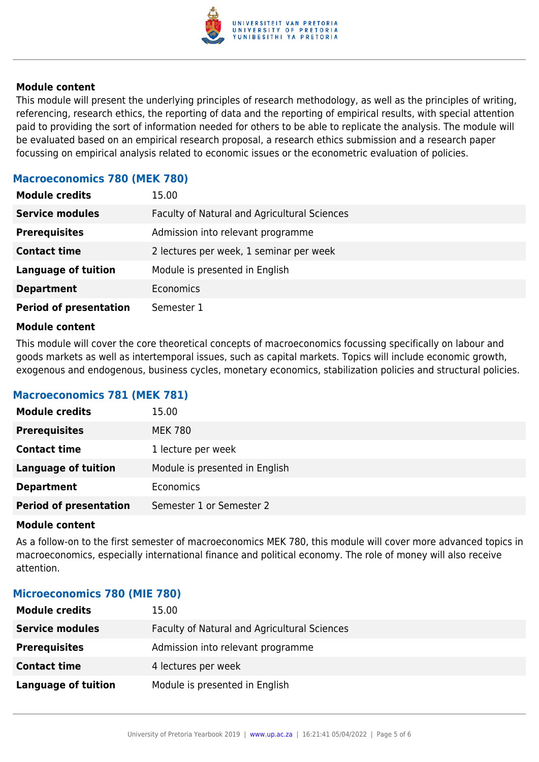

#### **Module content**

This module will present the underlying principles of research methodology, as well as the principles of writing, referencing, research ethics, the reporting of data and the reporting of empirical results, with special attention paid to providing the sort of information needed for others to be able to replicate the analysis. The module will be evaluated based on an empirical research proposal, a research ethics submission and a research paper focussing on empirical analysis related to economic issues or the econometric evaluation of policies.

## **Macroeconomics 780 (MEK 780)**

| <b>Module credits</b>         | 15.00                                        |
|-------------------------------|----------------------------------------------|
| <b>Service modules</b>        | Faculty of Natural and Agricultural Sciences |
| <b>Prerequisites</b>          | Admission into relevant programme            |
| <b>Contact time</b>           | 2 lectures per week, 1 seminar per week      |
| <b>Language of tuition</b>    | Module is presented in English               |
| <b>Department</b>             | Economics                                    |
| <b>Period of presentation</b> | Semester 1                                   |

#### **Module content**

This module will cover the core theoretical concepts of macroeconomics focussing specifically on labour and goods markets as well as intertemporal issues, such as capital markets. Topics will include economic growth, exogenous and endogenous, business cycles, monetary economics, stabilization policies and structural policies.

### **Macroeconomics 781 (MEK 781)**

| <b>Module credits</b>         | 15.00                          |
|-------------------------------|--------------------------------|
| <b>Prerequisites</b>          | <b>MEK 780</b>                 |
| <b>Contact time</b>           | 1 lecture per week             |
| <b>Language of tuition</b>    | Module is presented in English |
| <b>Department</b>             | Economics                      |
| <b>Period of presentation</b> | Semester 1 or Semester 2       |

#### **Module content**

As a follow-on to the first semester of macroeconomics MEK 780, this module will cover more advanced topics in macroeconomics, especially international finance and political economy. The role of money will also receive attention.

### **Microeconomics 780 (MIE 780)**

| <b>Module credits</b>      | 15.00                                        |
|----------------------------|----------------------------------------------|
| <b>Service modules</b>     | Faculty of Natural and Agricultural Sciences |
| <b>Prerequisites</b>       | Admission into relevant programme            |
| <b>Contact time</b>        | 4 lectures per week                          |
| <b>Language of tuition</b> | Module is presented in English               |